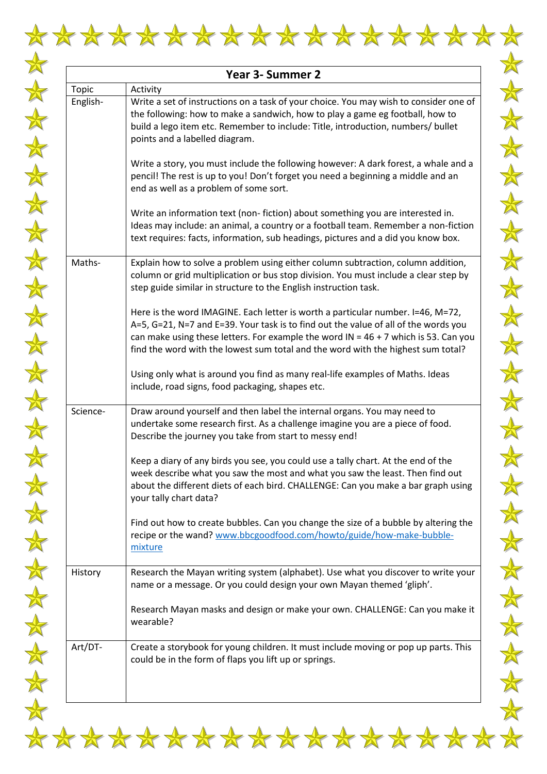

 $\frac{1}{N}$ 

 $\frac{1}{\sqrt{2}}$ 

 $\frac{1}{N}$ 

 $\frac{1}{N}$ 

 $\frac{1}{N}$ 

 $\frac{1}{N}$ 

 $\frac{1}{\sqrt{2}}$ 

 $\frac{1}{N}$ 

 $\frac{1}{N}$ 

 $\frac{1}{N}$ 

 $\frac{1}{N}$ 

 $\frac{1}{N}$ 

 $\frac{1}{N}$ 

 $\frac{1}{N}$ 

 $\frac{1}{\sqrt{2}}$ 

 $\frac{1}{\sqrt{2}}$ 

 $\frac{1}{N}$ 

 $\frac{1}{\sqrt{2}}$ 

 $\frac{1}{N}$ 

 $\frac{1}{\sqrt{2}}$ 

 $\frac{1}{N}$ 

 $\frac{1}{\sqrt{2}}$ 

 $\frac{1}{\sqrt{2}}$ 

| Year 3- Summer 2 |                                                                                                                                                                                                                                                                                                                                                     |  |  |  |  |  |
|------------------|-----------------------------------------------------------------------------------------------------------------------------------------------------------------------------------------------------------------------------------------------------------------------------------------------------------------------------------------------------|--|--|--|--|--|
| Topic            | Activity                                                                                                                                                                                                                                                                                                                                            |  |  |  |  |  |
| English-         | Write a set of instructions on a task of your choice. You may wish to consider one of<br>the following: how to make a sandwich, how to play a game eg football, how to<br>build a lego item etc. Remember to include: Title, introduction, numbers/ bullet<br>points and a labelled diagram.                                                        |  |  |  |  |  |
|                  | Write a story, you must include the following however: A dark forest, a whale and a<br>pencil! The rest is up to you! Don't forget you need a beginning a middle and an<br>end as well as a problem of some sort.                                                                                                                                   |  |  |  |  |  |
|                  | Write an information text (non-fiction) about something you are interested in.<br>Ideas may include: an animal, a country or a football team. Remember a non-fiction<br>text requires: facts, information, sub headings, pictures and a did you know box.                                                                                           |  |  |  |  |  |
| Maths-           | Explain how to solve a problem using either column subtraction, column addition,<br>column or grid multiplication or bus stop division. You must include a clear step by<br>step guide similar in structure to the English instruction task.                                                                                                        |  |  |  |  |  |
|                  | Here is the word IMAGINE. Each letter is worth a particular number. I=46, M=72,<br>A=5, G=21, N=7 and E=39. Your task is to find out the value of all of the words you<br>can make using these letters. For example the word IN = $46 + 7$ which is 53. Can you<br>find the word with the lowest sum total and the word with the highest sum total? |  |  |  |  |  |
|                  | Using only what is around you find as many real-life examples of Maths. Ideas<br>include, road signs, food packaging, shapes etc.                                                                                                                                                                                                                   |  |  |  |  |  |
| Science-         | Draw around yourself and then label the internal organs. You may need to<br>undertake some research first. As a challenge imagine you are a piece of food.<br>Describe the journey you take from start to messy end!                                                                                                                                |  |  |  |  |  |
|                  | Keep a diary of any birds you see, you could use a tally chart. At the end of the<br>week describe what you saw the most and what you saw the least. Then find out<br>about the different diets of each bird. CHALLENGE: Can you make a bar graph using<br>your tally chart data?                                                                   |  |  |  |  |  |
|                  | Find out how to create bubbles. Can you change the size of a bubble by altering the<br>recipe or the wand? www.bbcgoodfood.com/howto/guide/how-make-bubble-<br>mixture                                                                                                                                                                              |  |  |  |  |  |
| History          | Research the Mayan writing system (alphabet). Use what you discover to write your<br>name or a message. Or you could design your own Mayan themed 'gliph'.                                                                                                                                                                                          |  |  |  |  |  |
|                  | Research Mayan masks and design or make your own. CHALLENGE: Can you make it<br>wearable?                                                                                                                                                                                                                                                           |  |  |  |  |  |
| Art/DT-          | Create a storybook for young children. It must include moving or pop up parts. This<br>could be in the form of flaps you lift up or springs.                                                                                                                                                                                                        |  |  |  |  |  |